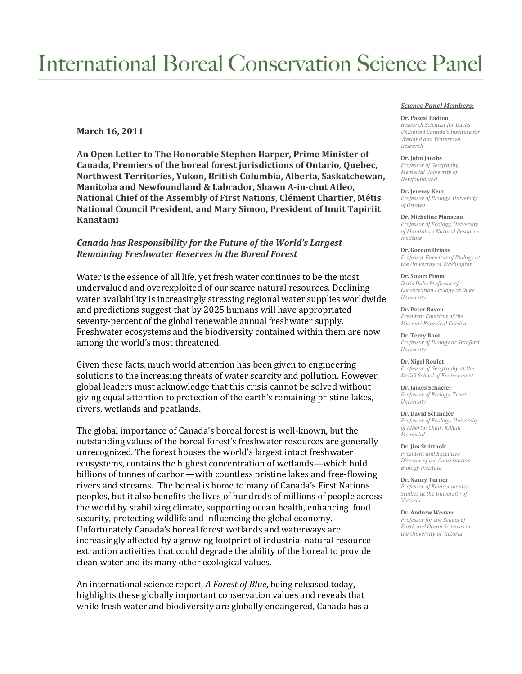# **International Boreal Conservation Science Panel**

## **March 16, 2011**

**An Open Letter to The Honorable Stephen Harper, Prime Minister of Canada, Premiers of the boreal forest jurisdictions of Ontario, Quebec, Northwest Territories, Yukon, British Columbia, Alberta, Saskatchewan, Manitoba and Newfoundland & Labrador, Shawn A-in-chut Atleo, National Chief of the Assembly of First Nations, Clément Chartier, Métis National Council President, and Mary Simon, President of Inuit Tapiriit Kanatami**

## *Canada has Responsibility for the Future of the World's Largest Remaining Freshwater Reserves in the Boreal Forest*

Water is the essence of all life, yet fresh water continues to be the most undervalued and overexploited of our scarce natural resources. Declining water availability is increasingly stressing regional water supplies worldwide and predictions suggest that by 2025 humans will have appropriated seventy-percent of the global renewable annual freshwater supply. Freshwater ecosystems and the biodiversity contained within them are now among the world's most threatened.

Given these facts, much world attention has been given to engineering solutions to the increasing threats of water scarcity and pollution. However, global leaders must acknowledge that this crisis cannot be solved without giving equal attention to protection of the earth's remaining pristine lakes, rivers, wetlands and peatlands.

The global importance of Canada's boreal forest is well-known, but the outstanding values of the boreal forest's freshwater resources are generally unrecognized. The forest houses the world's largest intact freshwater ecosystems, contains the highest concentration of wetlands—which hold billions of tonnes of carbon—with countless pristine lakes and free-flowing rivers and streams. The boreal is home to many of Canada's First Nations peoples, but it also benefits the lives of hundreds of millions of people across the world by stabilizing climate, supporting ocean health, enhancing food security, protecting wildlife and influencing the global economy. Unfortunately Canada's boreal forest wetlands and waterways are increasingly affected by a growing footprint of industrial natural resource extraction activities that could degrade the ability of the boreal to provide clean water and its many other ecological values.

An international science report, *A Forest of Blue*, being released today, highlights these globally important conservation values and reveals that while fresh water and biodiversity are globally endangered, Canada has a

### *Science Panel Members:*

#### **Dr. Pascal Badiou**

*Research Scientist for Ducks Unlimited Canada's Institute for Wetland and Waterfowl Research*

#### **Dr. John Jacobs**

*Professor of Geography, Memorial University of Newfoundland*

#### **Dr. Jeremy Kerr** *Professor of Biology, University of Ottawa*

**Dr. Micheline Manseau** *Professor of Ecology, University of Manitoba's Natural Resource Institute*

**Dr. Gordon Orians** *Professor Emeritus of Biology at the University of Washington*

#### **Dr. Stuart Pimm** *Doris Duke Professor of Conservation Ecology at Duke University*

**Dr. Peter Raven** *President Emeritus of the Missouri Botanical Garden*

**Dr. Terry Root** *Professor of Biology at Stanford University*

**Dr. Nigel Roulet** *Professor of Geography at the McGill School of Environment*

**Dr. James Schaefer** *Professor of Biology, Trent University*

**Dr. David Schindler** *Professor of Ecology, University of Alberta; Chair, Killam Memorial*

**Dr. Jim Strittholt** *President and Executive Director of the Conservation Biology Institute*

**Dr. Nancy Turner** *Professor of Environmental Studies at the University of Victoria*

**Dr. Andrew Weaver** *Professor for the School of Earth and Ocean Sciences at the University of Victoria*